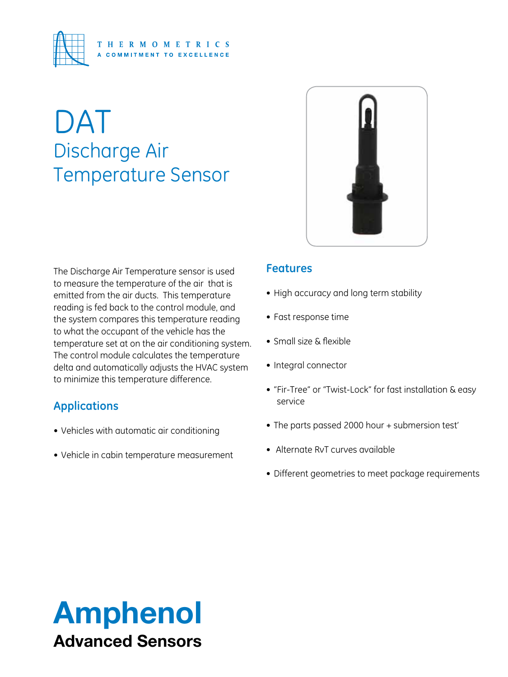

# DAT Discharge Air Temperature Sensor



The Discharge Air Temperature sensor is used to measure the temperature of the air that is emitted from the air ducts. This temperature reading is fed back to the control module, and the system compares this temperature reading to what the occupant of the vehicle has the temperature set at on the air conditioning system. The control module calculates the temperature delta and automatically adjusts the HVAC system to minimize this temperature difference.

## **Applications**

- • Vehicles with automatic air conditioning
- Vehicle in cabin temperature measurement

## **Features**

- High accuracy and long term stability
- • Fast response time
- • Small size & flexible
- • Integral connector
- • "Fir-Tree" or "Twist-Lock" for fast installation & easy service
- The parts passed 2000 hour + submersion test'
- • Alternate RvT curves available
- Different geometries to meet package requirements

## Amphenol Advanced Sensors